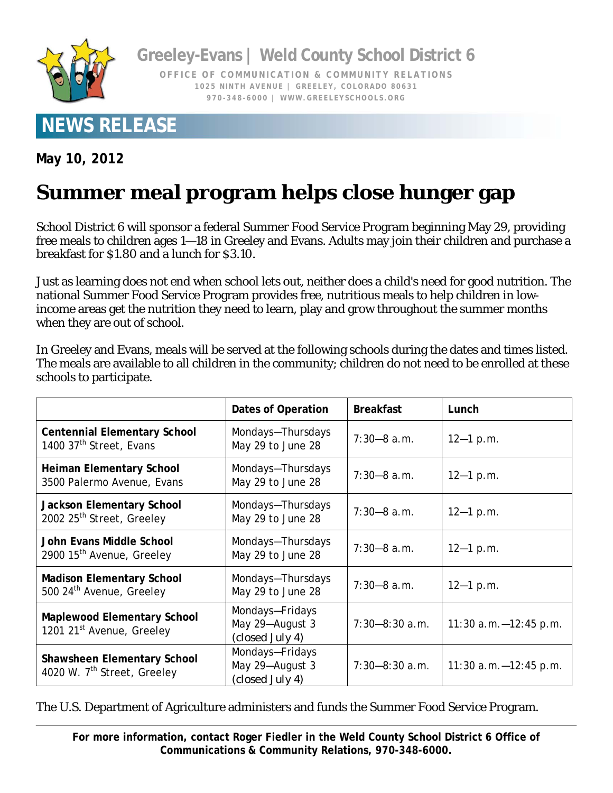

**Greeley-Evans | Weld County School District 6** 

**OFFICE OF COMMUNICATION & COMMUNITY RELATIONS 1025 NINTH AVENUE | GREELEY, COLORADO 80631 970-348-6000 | WWW.GREELEYSCHOOLS.ORG** 

## **NEWS RELEASE**

**May 10, 2012** 

## **Summer meal program helps close hunger gap**

School District 6 will sponsor a federal Summer Food Service Program beginning May 29, providing free meals to children ages 1—18 in Greeley and Evans. Adults may join their children and purchase a breakfast for \$1.80 and a lunch for \$3.10.

Just as learning does not end when school lets out, neither does a child's need for good nutrition. The national Summer Food Service Program provides free, nutritious meals to help children in lowincome areas get the nutrition they need to learn, play and grow throughout the summer months when they are out of school.

In Greeley and Evans, meals will be served at the following schools during the dates and times listed. The meals are available to all children in the community; children do not need to be enrolled at these schools to participate.

|                                                                               | Dates of Operation                                    | <b>Breakfast</b>   | Lunch                    |
|-------------------------------------------------------------------------------|-------------------------------------------------------|--------------------|--------------------------|
| <b>Centennial Elementary School</b><br>1400 37 <sup>th</sup> Street, Evans    | Mondays-Thursdays<br>May 29 to June 28                | $7:30 - 8$ a.m.    | $12 - 1 p.m.$            |
| Heiman Elementary School<br>3500 Palermo Avenue, Evans                        | Mondays-Thursdays<br>May 29 to June 28                | $7:30 - 8$ a.m.    | $12 - 1 p.m.$            |
| <b>Jackson Elementary School</b><br>2002 25 <sup>th</sup> Street, Greeley     | Mondays-Thursdays<br>May 29 to June 28                | $7:30-8$ a.m.      | $12 - 1 p.m.$            |
| John Evans Middle School<br>2900 15 <sup>th</sup> Avenue, Greeley             | Mondays-Thursdays<br>May 29 to June 28                | $7:30 - 8$ a.m.    | $12 - 1 p.m.$            |
| <b>Madison Elementary School</b><br>500 24 <sup>th</sup> Avenue, Greeley      | Mondays-Thursdays<br>May 29 to June 28                | $7:30 - 8$ a.m.    | $12 - 1 p.m.$            |
| <b>Maplewood Elementary School</b><br>1201 21 <sup>st</sup> Avenue, Greeley   | Mondays-Fridays<br>May 29-August 3<br>(closed July 4) | $7:30 - 8:30$ a.m. | 11:30 $a.m. -12:45 p.m.$ |
| <b>Shawsheen Elementary School</b><br>4020 W. 7 <sup>th</sup> Street, Greeley | Mondays-Fridays<br>May 29-August 3<br>(closed July 4) | $7:30 - 8:30$ a.m. | 11:30 $a.m. -12:45 p.m.$ |

## The U.S. Department of Agriculture administers and funds the Summer Food Service Program.

**For more information, contact Roger Fiedler in the Weld County School District 6 Office of Communications & Community Relations, 970-348-6000.**